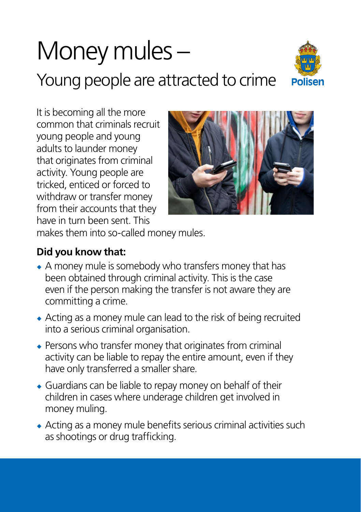## Money mules –

Young people are attracted to crime



It is becoming all the more common that criminals recruit young people and young adults to launder money that originates from criminal activity. Young people are tricked, enticed or forced to withdraw or transfer money from their accounts that they have in turn been sent. This



makes them into so-called money mules.

## **Did you know that:**

- ¿ A money mule is somebody who transfers money that has been obtained through criminal activity. This is the case even if the person making the transfer is not aware they are committing a crime.
- ¿ Acting as a money mule can lead to the risk of being recruited into a serious criminal organisation.
- ¿ Persons who transfer money that originates from criminal activity can be liable to repay the entire amount, even if they have only transferred a smaller share.
- ¿ Guardians can be liable to repay money on behalf of their children in cases where underage children get involved in money muling.
- ¿ Acting as a money mule benefits serious criminal activities such as shootings or drug trafficking.